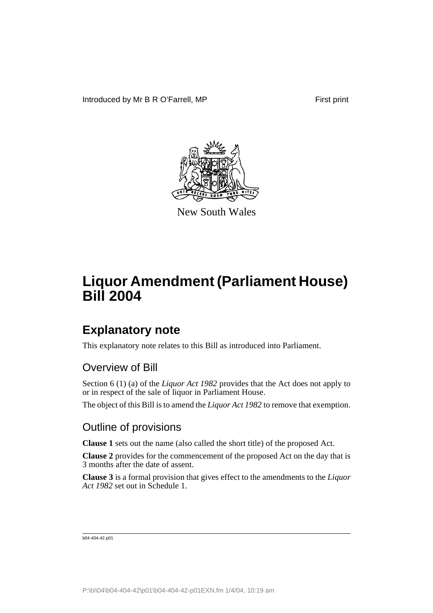Introduced by Mr B R O'Farrell, MP First print



New South Wales

# **Liquor Amendment (Parliament House) Bill 2004**

### **Explanatory note**

This explanatory note relates to this Bill as introduced into Parliament.

### Overview of Bill

Section 6 (1) (a) of the *Liquor Act 1982* provides that the Act does not apply to or in respect of the sale of liquor in Parliament House.

The object of this Bill is to amend the *Liquor Act 1982* to remove that exemption.

### Outline of provisions

**Clause 1** sets out the name (also called the short title) of the proposed Act.

**Clause 2** provides for the commencement of the proposed Act on the day that is 3 months after the date of assent.

**Clause 3** is a formal provision that gives effect to the amendments to the *Liquor Act 1982* set out in Schedule 1.

b04-404-42.p01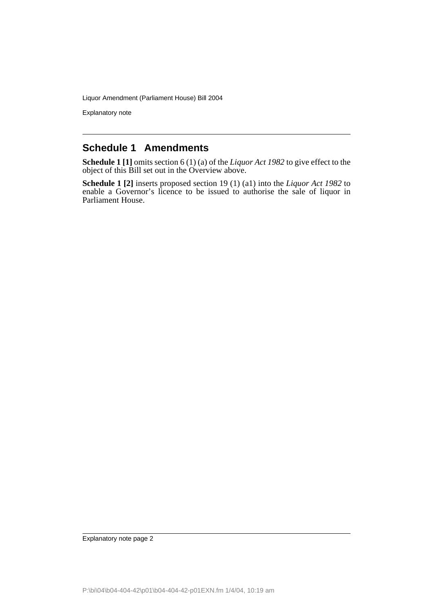Liquor Amendment (Parliament House) Bill 2004

Explanatory note

#### **Schedule 1 Amendments**

**Schedule 1 [1]** omits section 6 (1) (a) of the *Liquor Act 1982* to give effect to the object of this Bill set out in the Overview above.

**Schedule 1 [2]** inserts proposed section 19 (1) (a1) into the *Liquor Act 1982* to enable a Governor's licence to be issued to authorise the sale of liquor in Parliament House.

Explanatory note page 2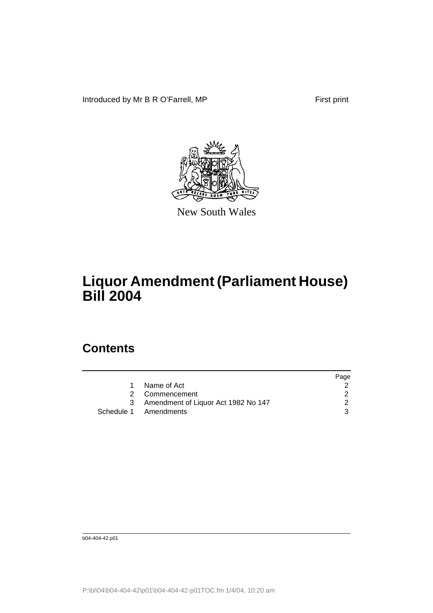Introduced by Mr B R O'Farrell, MP First print



New South Wales

## **Liquor Amendment (Parliament House) Bill 2004**

### **Contents**

|    |                                     | Page |
|----|-------------------------------------|------|
|    | Name of Act                         |      |
|    | 2 Commencement                      |      |
| -3 | Amendment of Liquor Act 1982 No 147 |      |
|    | Schedule 1 Amendments               | 3    |

b04-404-42.p01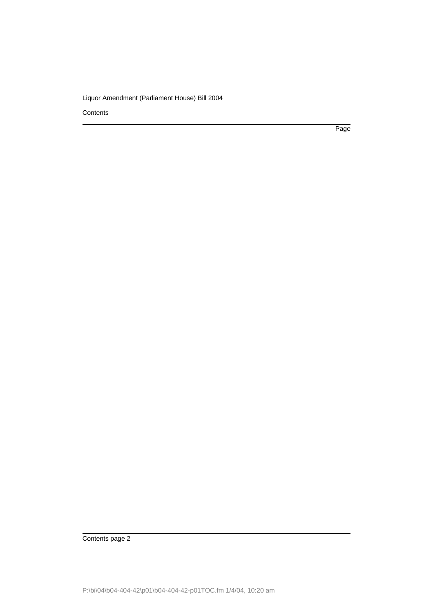#### Liquor Amendment (Parliament House) Bill 2004

**Contents** 

Page

Contents page 2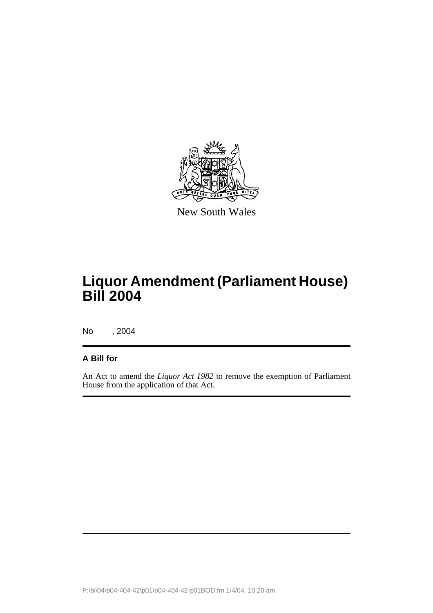

New South Wales

# **Liquor Amendment (Parliament House) Bill 2004**

No , 2004

#### **A Bill for**

An Act to amend the *Liquor Act 1982* to remove the exemption of Parliament House from the application of that Act.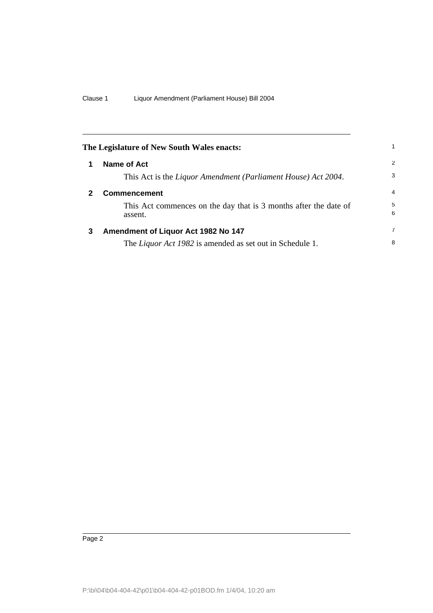<span id="page-5-2"></span><span id="page-5-1"></span><span id="page-5-0"></span>

|              | The Legislature of New South Wales enacts:                                           | 1              |
|--------------|--------------------------------------------------------------------------------------|----------------|
|              | Name of Act                                                                          | 2<br>3         |
| $\mathbf{2}$ | This Act is the Liquor Amendment (Parliament House) Act 2004.<br><b>Commencement</b> | $\overline{4}$ |
|              | This Act commences on the day that is 3 months after the date of<br>assent.          | 5<br>6         |
| 3            | Amendment of Liquor Act 1982 No 147                                                  | 7              |
|              | The <i>Liquor Act 1982</i> is amended as set out in Schedule 1.                      | 8              |